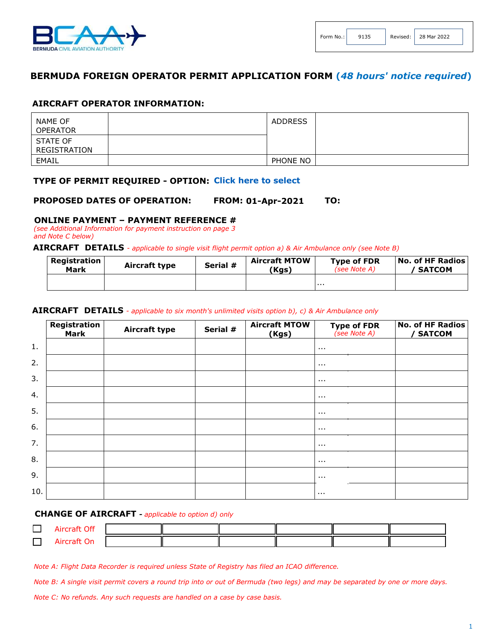

## **BERMUDA FOREIGN OPERATOR PERMIT APPLICATION FORM (***48 hours' notice required***)**

#### **AIRCRAFT OPERATOR INFORMATION:**

| NAME OF<br><b>OPERATOR</b> | <b>ADDRESS</b> |  |
|----------------------------|----------------|--|
| STATE OF<br>REGISTRATION   |                |  |
| EMAIL                      | PHONE NO       |  |

### **TYPE OF PERMIT REQUIRED - OPTION: Click here to select**

#### **TO: PROPOSED DATES OF OPERATION: 01-Apr-2021**

## **ONLINE PAYMENT – PAYMENT REFERENCE #**

*(see Additional Information for payment instruction on page 3 and Note C below)*

#### **AIRCRAFT DETAILS** *- applicable to single visit flight permit option a) & Air Ambulance only (see Note B)*

| <b>Registration</b><br>Mark | Aircraft type | Serial # | <b>Aircraft MTOW</b><br>(Kgs) | <b>Type of FDR</b><br>(see Note A) | <b>No. of HF Radios</b><br><b>SATCOM</b> |
|-----------------------------|---------------|----------|-------------------------------|------------------------------------|------------------------------------------|
|                             |               |          |                               | $\cdots$                           |                                          |

#### **AIRCRAFT DETAILS** *- applicable to six month's unlimited visits option b), c) & Air Ambulance only*

|     | Registration<br><b>Mark</b> | Aircraft type | Serial # | <b>Aircraft MTOW</b><br>(Kgs) | <b>Type of FDR</b><br>(see Note A) | No. of HF Radios<br><b>SATCOM</b> |
|-----|-----------------------------|---------------|----------|-------------------------------|------------------------------------|-----------------------------------|
| 1.  |                             |               |          |                               | $\cdots$                           |                                   |
| 2.  |                             |               |          |                               | $\cdots$                           |                                   |
| 3.  |                             |               |          |                               | $\cdots$                           |                                   |
| 4.  |                             |               |          |                               | $\sim$ $\sim$                      |                                   |
| 5.  |                             |               |          |                               | $\cdots$                           |                                   |
| 6.  |                             |               |          |                               | $\sim$ $\sim$                      |                                   |
| 7.  |                             |               |          |                               | $\cdots$                           |                                   |
| 8.  |                             |               |          |                               | $\cdots$                           |                                   |
| 9.  |                             |               |          |                               | $\cdots$                           |                                   |
| 10. |                             |               |          |                               | $\cdots$                           |                                   |

#### **CHANGE OF AIRCRAFT** *- applicable to option d) only*

| <b>Aircraft Off</b> |  |  |  |
|---------------------|--|--|--|
| Aircraft On         |  |  |  |

*Note A: Flight Data Recorder is required unless State of Registry has filed an ICAO difference.*

*Note B: A single visit permit covers a round trip into or out of Bermuda (two legs) and may be separated by one or more days.*

*Note C: No refunds. Any such requests are handled on a case by case basis.*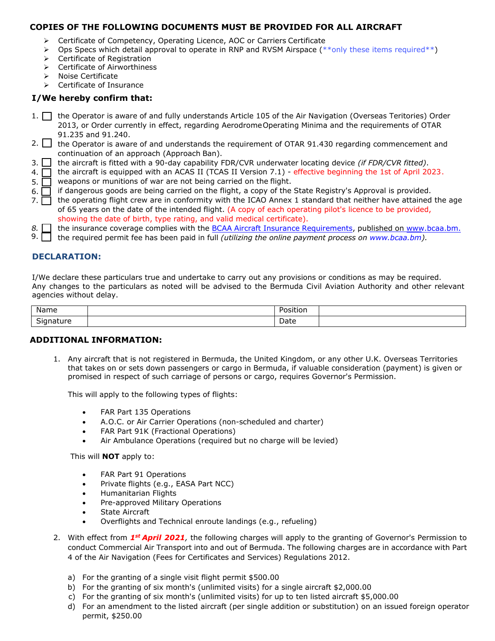## **COPIES OF THE FOLLOWING DOCUMENTS MUST BE PROVIDED FOR ALL AIRCRAFT**

- ➢ Certificate of Competency, Operating Licence, AOC or Carriers Certificate
- $\triangleright$  Ops Specs which detail approval to operate in RNP and RVSM Airspace (\*\*only these items required\*\*)
- ➢ Certificate of Registration
- ➢ Certificate of Airworthiness
- ➢ Noise Certificate
- ➢ Certificate of Insurance

# **I/We hereby confirm that:**

- 1. the Operator is aware of and fully understands Article 105 of the Air Navigation (Overseas Teritories) Order 2013, or Order currently in effect, regarding Aerodrome Operating Minima and the requirements of OTAR 91.235 and 91.240.
- 2. the Operator is aware of and understands the requirement of OTAR 91.430 regarding commencement and continuation of an approach (Approach Ban).
- $3.$   $\Box$ the aircraft is fitted with a 90-day capability FDR/CVR underwater locating device *(if FDR/CVR fitted)*.
- 4.  $\Box$ the aircraft is equipped with an ACAS II (TCAS II Version 7.1) - effective beginning the 1st of April 2023 .
- 5.  $\Box$ weapons or munitions of war are not being carried on the flight.
- 6.  $\Box$ if dangerous goods are being carried on the flight, a copy of the State Registry's Approval is provided.
- 7.  $\Box$ the operating flight crew are in conformity with the ICAO Annex 1 standard that neither have attained the age of 65 years on the date of the intended flight. (A copy of each operating pilot's licence to be provided, showing the date of birth, type rating, and valid medical certificate).
- *8.* the insurance coverage complies with the [BCAA Aircraft Insurance Requirements, p](https://www.bcaa.bm/visiting-aircraft-flight-permits)ublished on www.bcaa.bm.
- the required permit fee has been paid in full *(utilizing the online payment process on [www.bcaa.bm\).](https://www.bcaa.bm/payment)*  9.

# **DECLARATION:**

I/We declare these particulars true and undertake to carry out any provisions or conditions as may be required. Any changes to the particulars as noted will be advised to the Bermuda Civil Aviation Authority and other relevant agencies without delay.

| Name                           | .<br>Position<br>. |  |
|--------------------------------|--------------------|--|
| $\sim$<br>nature<br>יוכ<br>. . | Date               |  |

## **ADDITIONAL INFORMATION:**

1. Any aircraft that is not registered in Bermuda, the United Kingdom, or any other U.K. Overseas Territories that takes on or sets down passengers or cargo in Bermuda, if valuable consideration (payment) is given or promised in respect of such carriage of persons or cargo, requires Governor's Permission.

This will apply to the following types of flights:

- FAR Part 135 Operations
- A.O.C. or Air Carrier Operations (non-scheduled and charter)
- FAR Part 91K (Fractional Operations)
- Air Ambulance Operations (required but no charge will be levied)

This will **NOT** apply to:

- FAR Part 91 Operations
- Private flights (e.g., EASA Part NCC)
- Humanitarian Flights
- Pre-approved Military Operations
- State Aircraft
- Overflights and Technical enroute landings (e.g., refueling)
- 2. With effect from *1st April 2021,* the following charges will apply to the granting of Governor's Permission to conduct Commercial Air Transport into and out of Bermuda. The following charges are in accordance with Part 4 of the Air Navigation (Fees for Certificates and Services) Regulations 2012.
	- a) For the granting of a single visit flight permit \$500.00
	- b) For the granting of six month's (unlimited visits) for a single aircraft \$2,000.00
	- c) For the granting of six month's (unlimited visits) for up to ten listed aircraft \$5,000.00
	- d) For an amendment to the listed aircraft (per single addition or substitution) on an issued foreign operator permit, \$250.00